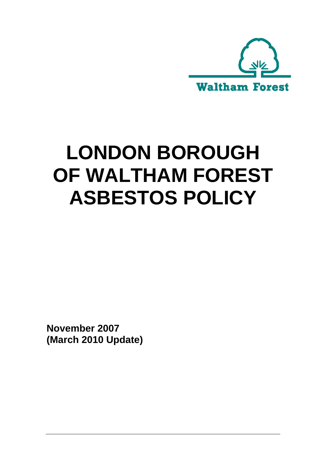

# LONDON BOROUGH **OF WALTHAM FOREST ASBESTOS POLICY**

**November 2007 (March 2010 Update)**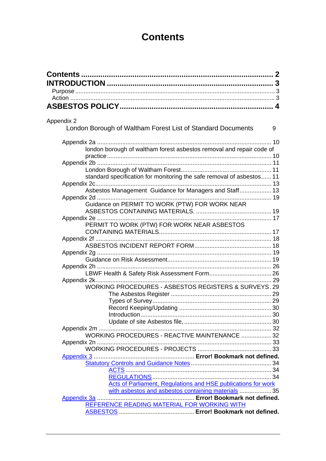# **Contents**

| Appendix 2<br>London Borough of Waltham Forest List of Standard Documents | 9 |
|---------------------------------------------------------------------------|---|
|                                                                           |   |
| london borough of waltham forest asbestos removal and repair code of      |   |
|                                                                           |   |
|                                                                           |   |
| standard specification for monitoring the safe removal of asbestos 11     |   |
| Asbestos Management Guidance for Managers and Staff 13                    |   |
|                                                                           |   |
| Guidance on PERMIT TO WORK (PTW) FOR WORK NEAR                            |   |
|                                                                           |   |
|                                                                           |   |
| PERMIT TO WORK (PTW) FOR WORK NEAR ASBESTOS                               |   |
|                                                                           |   |
|                                                                           |   |
|                                                                           |   |
|                                                                           |   |
|                                                                           |   |
|                                                                           |   |
|                                                                           |   |
| WORKING PROCEDURES - ASBESTOS REGISTERS & SURVEYS.29                      |   |
|                                                                           |   |
|                                                                           |   |
|                                                                           |   |
|                                                                           |   |
|                                                                           |   |
| WORKING PROCEDURES - REACTIVE MAINTENANCE  32                             |   |
|                                                                           |   |
|                                                                           |   |
|                                                                           |   |
|                                                                           |   |
|                                                                           |   |
| <b>Acts of Parliament, Regulations and HSE publications for work</b>      |   |
| with asbestos and asbestos containing materials  35                       |   |
|                                                                           |   |
| REFERENCE READING MATERIAL FOR WORKING WITH                               |   |
|                                                                           |   |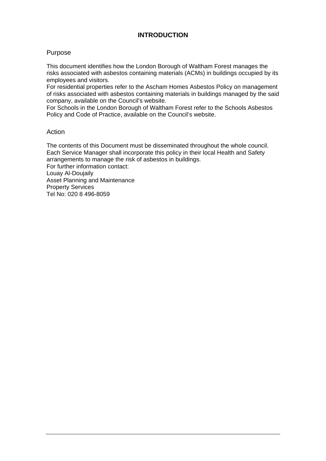# **INTRODUCTION**

#### Purpose

This document identifies how the London Borough of Waltham Forest manages the risks associated with asbestos containing materials (ACMs) in buildings occupied by its employees and visitors.

For residential properties refer to the Ascham Homes Asbestos Policy on management of risks associated with asbestos containing materials in buildings managed by the said company, available on the Council's website.

For Schools in the London Borough of Waltham Forest refer to the Schools Asbestos Policy and Code of Practice, available on the Council's website.

#### Action

The contents of this Document must be disseminated throughout the whole council. Each Service Manager shall incorporate this policy in their local Health and Safety arrangements to manage the risk of asbestos in buildings.

For further information contact: Louay Al-Doujaily Asset Planning and Maintenance Property Services Tel No: 020 8 496-8059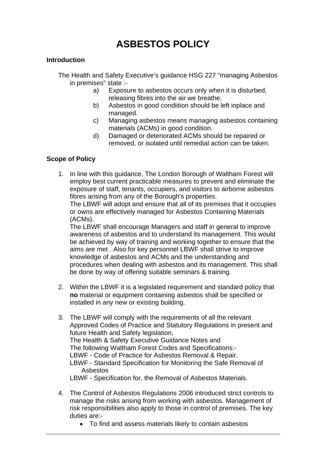# **ASBESTOS POLICY**

# **Introduction**

The Health and Safety Executive's guidance HSG 227 "managing Asbestos in premises" state :-

- a) Exposure to asbestos occurs only when it is disturbed, releasing fibres into the air we breathe.
- b) Asbestos in good condiition should be left inplace and managed.
- c) Managing asbestos means managing asbestos containing materials (ACMs) in good condition.
- d) Damaged or deteriorated ACMs should be repaired or removed, or isolated until remedial action can be taken.

# **Scope of Policy**

1. In line with this guidance, The London Borough of Waltham Forest will employ best current practicable measures to prevent and eliminate the exposure of staff, tenants, occupiers, and visitors to airborne asbestos fibres arising from any of the Borough's properties.

The LBWF will adopt and ensure that all of its premises that it occupies or owns are effectively managed for Asbestos Containing Materials (ACMs).

The LBWF shall encourage Managers and staff in general to improve awareness of asbestos and to understand its management. This would be achieved by way of training and working together to ensure that the aims are met . Also for key personnel LBWF shall strive to improve knowledge of asbestos and ACMs and the understanding and procedures when dealing with asbestos and its management. This shall be done by way of offering suitable seminars & training.

- 2. Within the LBWF it is a legislated requirement and standard policy that **no** material or equipment containing asbestos shall be specified or installed in any new or existing building.
- 3. The LBWF will comply with the requirements of all the relevant Approved Codes of Practice and Statutory Regulations in present and future Health and Safety legislation, The Health & Safety Executive Guidance Notes and The following Waltham Forest Codes and Specifications:- LBWF - Code of Practice for Asbestos Removal & Repair. LBWF - Standard Specification for Monitoring the Safe Removal of Asbestos LBWF - Specification for, the Removal of Asbestos Materials.
- 4. The Control of Asbestos Regulations 2006 introduced strict controls to manage the risks arising from working with asbestos. Management of risk responsibilities also apply to those in control of premises. The key duties are:-
	- To find and assess materials likely to contain asbestos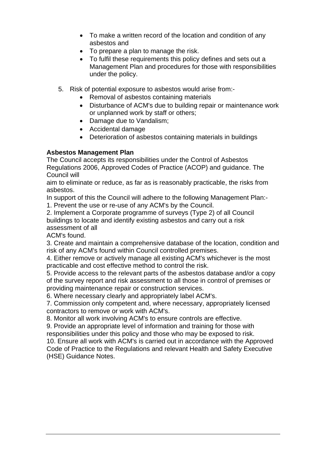- To make a written record of the location and condition of any asbestos and
- To prepare a plan to manage the risk.
- To fulfil these requirements this policy defines and sets out a Management Plan and procedures for those with responsibilities under the policy.
- 5. Risk of potential exposure to asbestos would arise from:-
	- Removal of asbestos containing materials
	- Disturbance of ACM's due to building repair or maintenance work or unplanned work by staff or others;
	- Damage due to Vandalism;
	- Accidental damage
	- Deterioration of asbestos containing materials in buildings

# **Asbestos Management Plan**

The Council accepts its responsibilities under the Control of Asbestos Regulations 2006, Approved Codes of Practice (ACOP) and guidance. The Council will

aim to eliminate or reduce, as far as is reasonably practicable, the risks from asbestos.

In support of this the Council will adhere to the following Management Plan:-

1. Prevent the use or re-use of any ACM's by the Council.

2. Implement a Corporate programme of surveys (Type 2) of all Council buildings to locate and identify existing asbestos and carry out a risk assessment of all

ACM's found.

3. Create and maintain a comprehensive database of the location, condition and risk of any ACM's found within Council controlled premises.

4. Either remove or actively manage all existing ACM's whichever is the most practicable and cost effective method to control the risk.

5. Provide access to the relevant parts of the asbestos database and/or a copy of the survey report and risk assessment to all those in control of premises or providing maintenance repair or construction services.

6. Where necessary clearly and appropriately label ACM's.

7. Commission only competent and, where necessary, appropriately licensed contractors to remove or work with ACM's.

8. Monitor all work involving ACM's to ensure controls are effective.

9. Provide an appropriate level of information and training for those with responsibilities under this policy and those who may be exposed to risk.

10. Ensure all work with ACM's is carried out in accordance with the Approved Code of Practice to the Regulations and relevant Health and Safety Executive (HSE) Guidance Notes.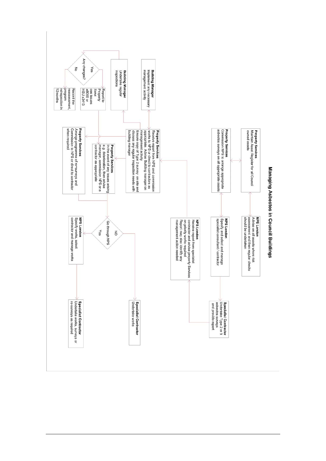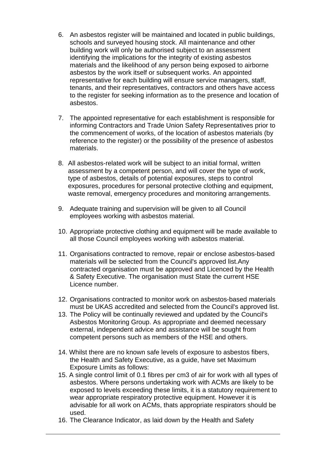- 6. An asbestos register will be maintained and located in public buildings, schools and surveyed housing stock. All maintenance and other building work will only be authorised subject to an assessment identifying the implications for the integrity of existing asbestos materials and the likelihood of any person being exposed to airborne asbestos by the work itself or subsequent works. An appointed representative for each building will ensure service managers, staff, tenants, and their representatives, contractors and others have access to the register for seeking information as to the presence and location of asbestos.
- 7. The appointed representative for each establishment is responsible for informing Contractors and Trade Union Safety Representatives prior to the commencement of works, of the location of asbestos materials (by reference to the register) or the possibility of the presence of asbestos materials.
- 8. All asbestos-related work will be subject to an initial formal, written assessment by a competent person, and will cover the type of work, type of asbestos, details of potential exposures, steps to control exposures, procedures for personal protective clothing and equipment, waste removal, emergency procedures and monitoring arrangements.
- 9. Adequate training and supervision will be given to all Council employees working with asbestos material.
- 10. Appropriate protective clothing and equipment will be made available to all those Council employees working with asbestos material.
- 11. Organisations contracted to remove, repair or enclose asbestos-based materials will be selected from the Council's approved list.Any contracted organisation must be approved and Licenced by the Health & Safety Executive. The organisation must State the current HSE Licence number.
- 12. Organisations contracted to monitor work on asbestos-based materials must be UKAS accredited and selected from the Council's approved list.
- 13. The Policy will be continually reviewed and updated by the Council's Asbestos Monitoring Group. As appropriate and deemed necessary external, independent advice and assistance will be sought from competent persons such as members of the HSE and others.
- 14. Whilst there are no known safe levels of exposure to asbestos fibers, the Health and Safety Executive, as a guide, have set Maximum Exposure Limits as follows:
- 15. A single control limit of 0.1 fibres per cm3 of air for work with all types of asbestos. Where persons undertaking work with ACMs are likely to be exposed to levels exceeding these limits, it is a statutory requirement to wear appropriate respiratory protective equipment. However it is advisable for all work on ACMs, thats appropriate respirators should be used.
- 16. The Clearance Indicator, as laid down by the Health and Safety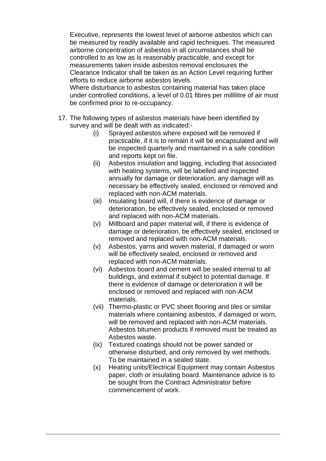Executive, represents the lowest level of airborne asbestos which can be measured by readily available and rapid techniques. The measured airborne concentration of asbestos in all circumstances shall be controlled to as low as is reasonably practicable, and except for measurements taken inside asbestos removal enclosures the Clearance Indicator shall be taken as an Action Level requiring further efforts to reduce airborne asbestos levels.

 Where disturbance to asbestos containing material has taken place under controlled conditions, a level of 0.01 fibres per millilitre of air must be confirmed prior to re-occupancy.

- 17. The following types of asbestos materials have been identified by survey and will be dealt with as indicated:-
	- (i) Sprayed asbestos where exposed will be removed if practicable, if it is to remain it will be encapsulated and will be inspected quarterly and maintained in a safe condition and reports kept on file.
	- (ii) Asbestos insulation and lagging, including that associated with heating systems, will be labelled and inspected annually for damage or deterioration, any damage will as necessary be effectively sealed, enclosed or removed and replaced with non-ACM materials.
	- (iii) Insulating board will, if there is evidence of damage or deterioration, be effectively sealed, enclosed or removed and replaced with non-ACM materials.
	- (v) Millboard and paper material will, if there is evidence of damage or deterioration, be effectively sealed, enclosed or removed and replaced with non-ACM materials.
	- (v) Asbestos, yarns and woven material, if damaged or worn will be effectively sealed, enclosed or removed and replaced with non-ACM materials.
	- (vi) Asbestos board and cement will be sealed internal to all buildings, and external if subject to potential damage. If there is evidence of damage or deterioration it will be enclosed or removed and replaced with non-ACM materials.
	- (vii) Thermo-plastic or PVC sheet flooring and tiles or similar materials where containing asbestos, if damaged or worn, will be removed and replaced with non-ACM materials. Asbestos bitumen products if removed must be treated as Asbestos waste.
	- (ix) Textured coatings should not be power sanded or otherwise disturbed, and only removed by wet methods. To be maintained in a sealed state.
	- (x) Heating units/Electrical Equipment may contain Asbestos paper, cloth or insulating board. Maintenance advice is to be sought from the Contract Administrator before commencement of work.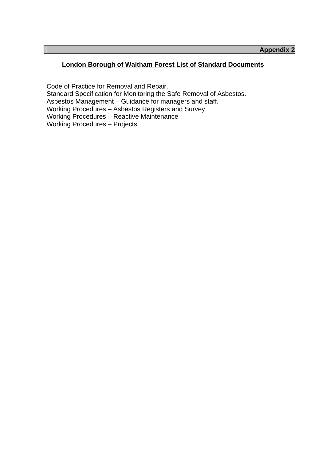# **London Borough of Waltham Forest List of Standard Documents**

Code of Practice for Removal and Repair. Standard Specification for Monitoring the Safe Removal of Asbestos. Asbestos Management – Guidance for managers and staff. Working Procedures – Asbestos Registers and Survey Working Procedures – Reactive Maintenance Working Procedures – Projects.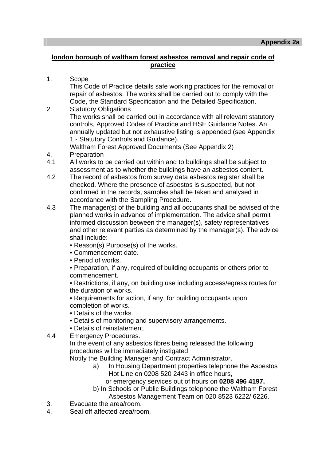# **london borough of waltham forest asbestos removal and repair code of practice**

1. Scope

 This Code of Practice details safe working practices for the removal or repair of asbestos. The works shall be carried out to comply with the Code, the Standard Specification and the Detailed Specification.

2. Statutory Obligations The works shall be carried out in accordance with all relevant statutory controls, Approved Codes of Practice and HSE Guidance Notes. An annually updated but not exhaustive listing is appended (see Appendix 1 - Statutory Controls and Guidance).

Waltham Forest Approved Documents (See Appendix 2)

- 4. Preparation
- 4.1 All works to be carried out within and to buildings shall be subject to assessment as to whether the buildings have an asbestos content.
- 4.2 The record of asbestos from survey data asbestos register shall be checked. Where the presence of asbestos is suspected, but not confirmed in the records, samples shall be taken and analysed in accordance with the Sampling Procedure.
- 4.3 The manager(s) of the building and all occupants shall be advised of the planned works in advance of implementation. The advice shall permit informed discussion between the manager(s), safety representatives and other relevant parties as determined by the manager(s). The advice shall include:
	- Reason(s) Purpose(s) of the works.
	- Commencement date.
	- Period of works.

 • Preparation, if any, required of building occupants or others prior to commencement.

 • Restrictions, if any, on building use including access/egress routes for the duration of works.

 • Requirements for action, if any, for building occupants upon completion of works.

- Details of the works.
- Details of monitoring and supervisory arrangements.
- Details of reinstatement.
- 4.4 Emergency Procedures.

 In the event of any asbestos fibres being released the following procedures wil be immediately instigated.

Notify the Building Manager and Contract Administrator.

- a) In Housing Department properties telephone the Asbestos Hot Line on 0208 520 2443 in office hours,
	- or emergency services out of hours on **0208 496 4197.**
- b) In Schools or Public Buildings telephone the Waltham Forest Asbestos Management Team on 020 8523 6222/ 6226.
- 3. Evacuate the area/room.
- 4. Seal off affected area/room.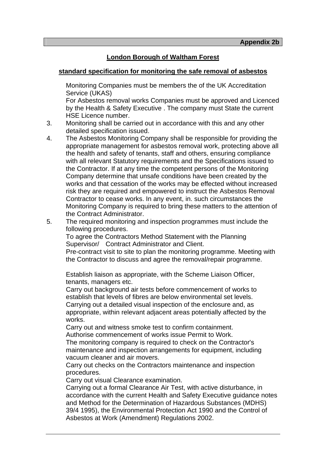#### **London Borough of Waltham Forest**

#### **standard specification for monitoring the safe removal of asbestos**

 Monitoring Companies must be members the of the UK Accreditation Service (UKAS)

 For Asbestos removal works Companies must be approved and Licenced by the Health & Safety Executive . The company must State the current HSE Licence number.

- 3. Monitoring shall be carried out in accordance with this and any other detailed specification issued.
- 4. The Asbestos Monitoring Company shall be responsible for providing the appropriate management for asbestos removal work, protecting above all the health and safety of tenants, staff and others, ensuring compliance with all relevant Statutory requirements and the Specifications issued to the Contractor. If at any time the competent persons of the Monitoring Company determine that unsafe conditions have been created by the works and that cessation of the works may be effected without increased risk they are required and empowered to instruct the Asbestos Removal Contractor to cease works. In any event, in. such circumstances the Monitoring Company is required to bring these matters to the attention of the Contract Administrator.
- 5. The required monitoring and inspection programmes must include the following procedures.

 To agree the Contractors Method Statement with the Planning Supervisor/ Contract Administrator and Client.

Pre-contract visit to site to plan the monitoring programme. Meeting with the Contractor to discuss and agree the removal/repair programme.

 Establish liaison as appropriate, with the Scheme Liaison Officer, tenants, managers etc.

 Carry out background air tests before commencement of works to establish that levels of fibres are below environmental set levels. Carrying out a detailed visual inspection of the enclosure and, as appropriate, within relevant adjacent areas potentially affected by the works.

 Carry out and witness smoke test to confirm containment. Authorise commencement of works issue Permit to Work.

 The monitoring company is required to check on the Contractor's maintenance and inspection arrangements for equipment, including vacuum cleaner and air movers.

 Carry out checks on the Contractors maintenance and inspection procedures.

Carry out visual Clearance examination.

 Carrying out a formal Clearance Air Test, with active disturbance, in accordance with the current Health and Safety Executive guidance notes and Method for the Determination of Hazardous Substances (MDHS) 39/4 1995), the Environmental Protection Act 1990 and the Control of Asbestos at Work (Amendment) Regulations 2002.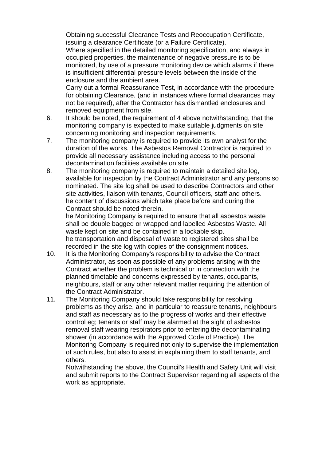Obtaining successful Clearance Tests and Reoccupation Certificate, issuing a clearance Certificate (or a Failure Certificate).

 Where specified in the detailed monitoring specification, and always in occupied properties, the maintenance of negative pressure is to be monitored, by use of a pressure monitoring device which alarms if there is insufficient differential pressure levels between the inside of the enclosure and the ambient area.

 Carry out a formal Reassurance Test, in accordance with the procedure for obtaining Clearance, (and in instances where formal clearances may not be required), after the Contractor has dismantled enclosures and removed equipment from site.

- 6. It should be noted, the requirement of 4 above notwithstanding, that the monitoring company is expected to make suitable judgments on site concerning monitoring and inspection requirements.
- 7. The monitoring company is required to provide its own analyst for the duration of the works. The Asbestos Removal Contractor is required to provide all necessary assistance including access to the personal decontamination facilities available on site.
- 8. The monitoring company is required to maintain a detailed site log, available for inspection by the Contract Administrator and any persons so nominated. The site log shall be used to describe Contractors and other site activities, liaison with tenants, Council officers, staff and others. he content of discussions which take place before and during the Contract should be noted therein.

 he Monitoring Company is required to ensure that all asbestos waste shall be double bagged or wrapped and labelled Asbestos Waste. All waste kept on site and be contained in a lockable skip. he transportation and disposal of waste to registered sites shall be recorded in the site log with copies of the consignment notices.

- 10. It is the Monitoring Company's responsibility to advise the Contract Administrator, as soon as possible of any problems arising with the Contract whether the problem is technical or in connection with the planned timetable and concerns expressed by tenants, occupants, neighbours, staff or any other relevant matter requiring the attention of the Contract Administrator.
- 11. The Monitoring Company should take responsibility for resolving problems as they arise, and in particular to reassure tenants, neighbours and staff as necessary as to the progress of works and their effective control eg; tenants or staff may be alarmed at the sight of asbestos removal staff wearing respirators prior to entering the decontaminating shower (in accordance with the Approved Code of Practice). The Monitoring Company is required not only to supervise the implementation of such rules, but also to assist in explaining them to staff tenants, and others.

 Notwithstanding the above, the Council's Health and Safety Unit will visit and submit reports to the Contract Supervisor regarding all aspects of the work as appropriate.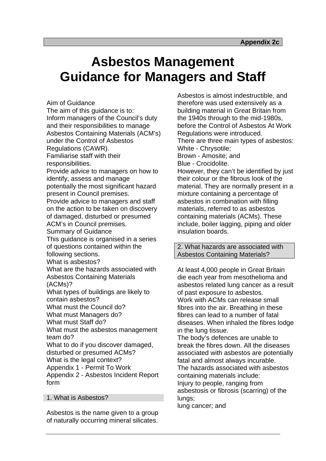# **Asbestos Management Guidance for Managers and Staff**

Aim of Guidance

The aim of this guidance is to: Inform managers of the Council's duty and their responsibilities to manage Asbestos Containing Materials (ACM's) under the Control of Asbestos Regulations (CAWR). Familiarise staff with their responsibilities. Provide advice to managers on how to identify, assess and manage potentially the most significant hazard present in Council premises. Provide advice to managers and staff on the action to be taken on discovery of damaged, disturbed or presumed ACM's in Council premises. Summary of Guidance This guidance is organised in a series of questions contained within the following sections. What is asbestos? What are the hazards associated with Asbestos Containing Materials (ACMs)? What types of buildings are likely to contain asbestos? What must the Council do? What must Managers do? What must Staff do? What must the asbestos management team do? What to do if you discover damaged, disturbed or presumed ACMs?

What is the legal context? Appendix 1 - Permit To Work

Appendix 2 - Asbestos Incident Report form

1. What is Asbestos?

Asbestos is the name given to a group of naturally occurring mineral silicates.

Asbestos is almost indestructible, and therefore was used extensively as a building material in Great Britain from the 1940s through to the mid-1980s, before the Control of Asbestos At Work Regulations were introduced. There are three main types of asbestos: White - Chrysotile; Brown - Amosite; and Blue - Crocidolite. However, they can't be identified by just their colour or the fibrous look of the material. They are normally present in a mixture containing a percentage of asbestos in combination with filling materials, referred to as asbestos containing materials (ACMs). These include, boiler lagging, piping and older insulation boards.

2. What hazards are associated with Asbestos Containing Materials?

At least 4,000 people in Great Britain die each year from mesothelioma and asbestos related lung cancer as a result of past exposure to asbestos. Work with ACMs can release small fibres into the air. Breathing in these fibres can lead to a number of fatal diseases. When inhaled the fibres lodge in the lung tissue.

The body's defences are unable to break the fibres down. All the diseases associated with asbestos are potentially fatal and almost always incurable. The hazards associated with asbestos containing materials include: Injury to people, ranging from asbestosis or fibrosis (scarring) of the lungs;

lung cancer; and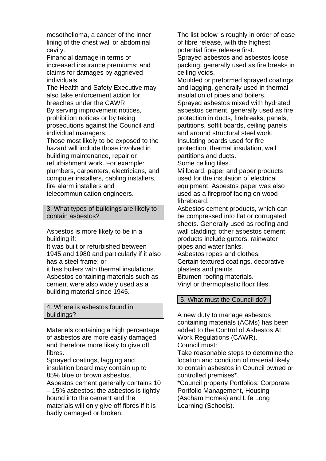mesothelioma, a cancer of the inner lining of the chest wall or abdominal cavity.

Financial damage in terms of increased insurance premiums; and claims for damages by aggrieved individuals.

The Health and Safety Executive may also take enforcement action for breaches under the CAWR. By serving improvement notices,

prohibition notices or by taking prosecutions against the Council and individual managers.

Those most likely to be exposed to the hazard will include those involved in building maintenance, repair or refurbishment work. For example: plumbers, carpenters, electricians, and computer installers, cabling installers, fire alarm installers and telecommunication engineers.

3. What types of buildings are likely to contain asbestos?

Asbestos is more likely to be in a building if:

It was built or refurbished between 1945 and 1980 and particularly if it also has a steel frame; or

it has boilers with thermal insulations. Asbestos containing materials such as cement were also widely used as a building material since 1945.

#### 4. Where is asbestos found in buildings?

Materials containing a high percentage of asbestos are more easily damaged and therefore more likely to give off fibres.

Sprayed coatings, lagging and insulation board may contain up to 85% blue or brown asbestos. Asbestos cement generally contains 10 – 15% asbestos; the asbestos is tightly bound into the cement and the materials will only give off fibres if it is badly damaged or broken.

The list below is roughly in order of ease of fibre release, with the highest potential fibre release first.

Sprayed asbestos and asbestos loose packing, generally used as fire breaks in ceiling voids.

Moulded or preformed sprayed coatings and lagging, generally used in thermal insulation of pipes and boilers. Sprayed asbestos mixed with hydrated asbestos cement, generally used as fire protection in ducts, firebreaks, panels, partitions, soffit boards, ceiling panels and around structural steel work. Insulating boards used for fire protection, thermal insulation, wall partitions and ducts.

Some ceiling tiles.

Millboard, paper and paper products used for the insulation of electrical equipment. Asbestos paper was also used as a fireproof facing on wood fibreboard.

Asbestos cement products, which can be compressed into flat or corrugated sheets. Generally used as roofing and wall cladding; other asbestos cement products include gutters, rainwater pipes and water tanks.

Asbestos ropes and clothes.

Certain textured coatings, decorative plasters and paints. Bitumen roofing materials.

Vinyl or thermoplastic floor tiles.

# 5. What must the Council do?

A new duty to manage asbestos containing materials (ACMs) has been added to the Control of Asbestos At Work Regulations (CAWR). Council must:

Take reasonable steps to determine the location and condition of material likely to contain asbestos in Council owned or controlled premises\*.

\*Council property Portfolios: Corporate Portfolio Management, Housing (Ascham Homes) and Life Long Learning (Schools).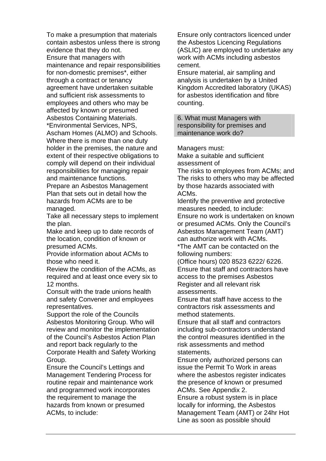To make a presumption that materials contain asbestos unless there is strong evidence that they do not. Ensure that managers with maintenance and repair responsibilities for non-domestic premises\*, either through a contract or tenancy agreement have undertaken suitable and sufficient risk assessments to employees and others who may be affected by known or presumed Asbestos Containing Materials. \*Environmental Services, NPS, Ascham Homes (ALMO) and Schools. Where there is more than one duty holder in the premises, the nature and extent of their respective obligations to comply will depend on their individual

responsibilities for managing repair and maintenance functions. Prepare an Asbestos Management Plan that sets out in detail how the hazards from ACMs are to be

managed. Take all necessary steps to implement the plan.

Make and keep up to date records of the location, condition of known or presumed ACMs.

Provide information about ACMs to those who need it.

Review the condition of the ACMs, as required and at least once every six to 12 months.

Consult with the trade unions health and safety Convener and employees representatives.

Support the role of the Councils Asbestos Monitoring Group. Who will review and monitor the implementation of the Council's Asbestos Action Plan and report back regularly to the Corporate Health and Safety Working Group.

Ensure the Council's Lettings and Management Tendering Process for routine repair and maintenance work and programmed work incorporates the requirement to manage the hazards from known or presumed ACMs, to include:

Ensure only contractors licenced under the Asbestos Licencing Regulations (ASLIC) are employed to undertake any work with ACMs including asbestos cement.

Ensure material, air sampling and analysis is undertaken by a United Kingdom Accredited laboratory (UKAS) for asbestos identification and fibre counting.

6. What must Managers with responsibility for premises and maintenance work do?

Managers must:

Make a suitable and sufficient assessment of

The risks to employees from ACMs; and The risks to others who may be affected by those hazards associated with ACMs.

Identify the preventive and protective measures needed, to include: Ensure no work is undertaken on known or presumed ACMs. Only the Council's

Asbestos Management Team (AMT) can authorize work with ACMs.

\*The AMT can be contacted on the following numbers:

(Office hours) 020 8523 6222/ 6226. Ensure that staff and contractors have access to the premises Asbestos Register and all relevant risk assessments.

Ensure that staff have access to the contractors risk assessments and method statements.

Ensure that all staff and contractors including sub-contractors understand the control measures identified in the risk assessments and method statements.

Ensure only authorized persons can issue the Permit To Work in areas where the asbestos register indicates the presence of known or presumed ACMs. See Appendix 2.

Ensure a robust system is in place locally for informing, the Asbestos Management Team (AMT) or 24hr Hot Line as soon as possible should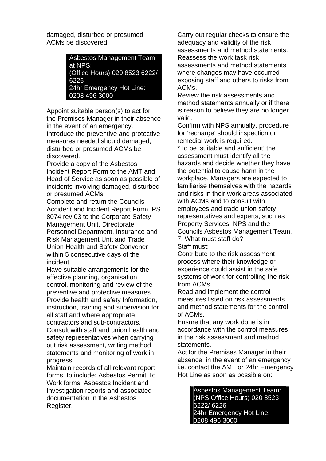damaged, disturbed or presumed ACMs be discovered:

> Asbestos Management Team at NPS: (Office Hours) 020 8523 6222/ 6226 24hr Emergency Hot Line: 0208 496 3000

Appoint suitable person(s) to act for the Premises Manager in their absence in the event of an emergency. Introduce the preventive and protective measures needed should damaged, disturbed or presumed ACMs be discovered.

Provide a copy of the Asbestos Incident Report Form to the AMT and Head of Service as soon as possible of incidents involving damaged, disturbed or presumed ACMs.

Complete and return the Councils Accident and Incident Report Form, PS 8074 rev 03 to the Corporate Safety Management Unit, Directorate Personnel Department, Insurance and Risk Management Unit and Trade Union Health and Safety Convener within 5 consecutive days of the incident.

Have suitable arrangements for the effective planning, organisation, control, monitoring and review of the preventive and protective measures. Provide health and safety Information, instruction, training and supervision for all staff and where appropriate contractors and sub-contractors. Consult with staff and union health and safety representatives when carrying out risk assessment, writing method statements and monitoring of work in progress.

Maintain records of all relevant report forms, to include: Asbestos Permit To Work forms, Asbestos Incident and Investigation reports and associated documentation in the Asbestos Register.

Carry out regular checks to ensure the adequacy and validity of the risk assessments and method statements. Reassess the work task risk assessments and method statements where changes may have occurred exposing staff and others to risks from ACMs.

Review the risk assessments and method statements annually or if there is reason to believe they are no longer valid.

Confirm with NPS annually, procedure for 'recharge' should inspection or remedial work is required.

\*To be 'suitable and sufficient' the assessment must identify all the hazards and decide whether they have the potential to cause harm in the workplace. Managers are expected to familiarise themselves with the hazards and risks in their work areas associated with ACMs and to consult with employees and trade union safety representatives and experts, such as Property Services, NPS and the Councils Asbestos Management Team. 7. What must staff do? Staff must:

Contribute to the risk assessment process where their knowledge or experience could assist in the safe systems of work for controlling the risk from ACMs.

Read and implement the control measures listed on risk assessments and method statements for the control of ACMs.

Ensure that any work done is in accordance with the control measures in the risk assessment and method statements.

Act for the Premises Manager in their absence, in the event of an emergency i.e. contact the AMT or 24hr Emergency Hot Line as soon as possible on:

> Asbestos Management Team: (NPS Office Hours) 020 8523 6222/ 6226 24hr Emergency Hot Line: 0208 496 3000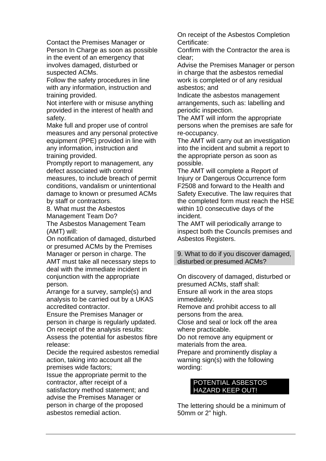Contact the Premises Manager or Person In Charge as soon as possible in the event of an emergency that involves damaged, disturbed or suspected ACMs.

Follow the safety procedures in line with any information, instruction and training provided.

Not interfere with or misuse anything provided in the interest of health and safety.

Make full and proper use of control measures and any personal protective equipment (PPE) provided in line with any information, instruction and training provided.

Promptly report to management, any defect associated with control measures, to include breach of permit conditions, vandalism or unintentional damage to known or presumed ACMs by staff or contractors.

8. What must the Asbestos Management Team Do? The Asbestos Management Team

(AMT) will:

On notification of damaged, disturbed or presumed ACMs by the Premises Manager or person in charge. The AMT must take all necessary steps to deal with the immediate incident in conjunction with the appropriate person.

Arrange for a survey, sample(s) and analysis to be carried out by a UKAS accredited contractor.

Ensure the Premises Manager or person in charge is regularly updated. On receipt of the analysis results: Assess the potential for asbestos fibre release:

Decide the required asbestos remedial action, taking into account all the premises wide factors;

Issue the appropriate permit to the contractor, after receipt of a satisfactory method statement; and advise the Premises Manager or person in charge of the proposed asbestos remedial action.

On receipt of the Asbestos Completion Certificate:

Confirm with the Contractor the area is clear;

Advise the Premises Manager or person in charge that the asbestos remedial work is completed or of any residual asbestos; and

Indicate the asbestos management arrangements, such as: labelling and periodic inspection.

The AMT will inform the appropriate persons when the premises are safe for re-occupancy.

The AMT will carry out an investigation into the incident and submit a report to the appropriate person as soon as possible.

The AMT will complete a Report of Injury or Dangerous Occurrence form F2508 and forward to the Health and Safety Executive. The law requires that the completed form must reach the HSE within 10 consecutive days of the incident.

The AMT will periodically arrange to inspect both the Councils premises and Asbestos Registers.

9. What to do if you discover damaged, disturbed or presumed ACMs?

On discovery of damaged, disturbed or presumed ACMs, staff shall: Ensure all work in the area stops immediately.

Remove and prohibit access to all persons from the area.

Close and seal or lock off the area where practicable.

Do not remove any equipment or materials from the area.

Prepare and prominently display a warning sign(s) with the following wording:

# POTENTIAL ASBESTOS HAZARD KEEP OUT!

The lettering should be a minimum of 50mm or 2" high.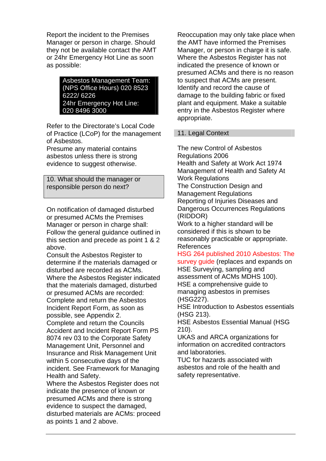Report the incident to the Premises Manager or person in charge. Should they not be available contact the AMT or 24hr Emergency Hot Line as soon as possible:

> Asbestos Management Team: (NPS Office Hours) 020 8523 6222/ 6226 24hr Emergency Hot Line: 020 8496 3000

Refer to the Directorate's Local Code of Practice (LCoP) for the management of Asbestos.

Presume any material contains asbestos unless there is strong evidence to suggest otherwise.

10. What should the manager or responsible person do next?

On notification of damaged disturbed or presumed ACMs the Premises Manager or person in charge shall: Follow the general guidance outlined in this section and precede as point 1 & 2 above.

Consult the Asbestos Register to determine if the materials damaged or disturbed are recorded as ACMs. Where the Asbestos Register indicated that the materials damaged, disturbed or presumed ACMs are recorded: Complete and return the Asbestos Incident Report Form, as soon as possible, see Appendix 2. Complete and return the Councils Accident and Incident Report Form PS 8074 rev 03 to the Corporate Safety Management Unit, Personnel and Insurance and Risk Management Unit within 5 consecutive days of the incident. See Framework for Managing Health and Safety.

Where the Asbestos Register does not indicate the presence of known or presumed ACMs and there is strong evidence to suspect the damaged, disturbed materials are ACMs: proceed as points 1 and 2 above.

Reoccupation may only take place when the AMT have informed the Premises Manager, or person in charge it is safe. Where the Asbestos Register has not indicated the presence of known or presumed ACMs and there is no reason to suspect that ACMs are present. Identify and record the cause of damage to the building fabric or fixed plant and equipment. Make a suitable entry in the Asbestos Register where appropriate.

# 11. Legal Context

The new Control of Asbestos Regulations 2006 Health and Safety at Work Act 1974 Management of Health and Safety At Work Regulations The Construction Design and Management Regulations Reporting of Injuries Diseases and Dangerous Occurrences Regulations (RIDDOR)

Work to a higher standard will be considered if this is shown to be reasonably practicable or appropriate. References

HSG 264 published 2010 Asbestos: The survey guide (replaces and expands on HSE Surveying, sampling and assessment of ACMs MDHS 100). HSE a comprehensive guide to managing asbestos in premises (HSG227).

HSE Introduction to Asbestos essentials (HSG 213).

HSE Asbestos Essential Manual (HSG 210).

UKAS and ARCA organizations for information on accredited contractors and laboratories.

TUC for hazards associated with asbestos and role of the health and safety representative.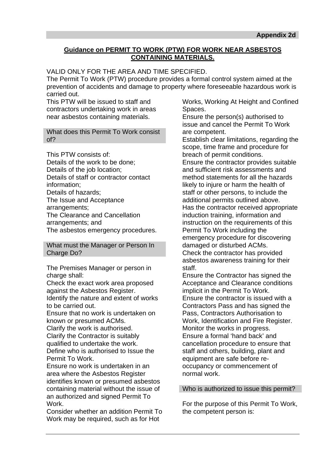# **Guidance on PERMIT TO WORK (PTW) FOR WORK NEAR ASBESTOS CONTAINING MATERIALS.**

VALID ONLY FOR THE AREA AND TIME SPECIFIED.

The Permit To Work (PTW) procedure provides a formal control system aimed at the prevention of accidents and damage to property where foreseeable hazardous work is carried out.

This PTW will be issued to staff and contractors undertaking work in areas near asbestos containing materials.

What does this Permit To Work consist of?

This PTW consists of: Details of the work to be done; Details of the job location; Details of staff or contractor contact information; Details of hazards; The Issue and Acceptance arrangements; The Clearance and Cancellation arrangements; and The asbestos emergency procedures.

What must the Manager or Person In Charge Do?

The Premises Manager or person in charge shall:

Check the exact work area proposed against the Asbestos Register.

Identify the nature and extent of works to be carried out.

Ensure that no work is undertaken on known or presumed ACMs.

Clarify the work is authorised. Clarify the Contractor is suitably qualified to undertake the work. Define who is authorised to Issue the Permit To Work.

Ensure no work is undertaken in an area where the Asbestos Register identifies known or presumed asbestos containing material without the issue of an authorized and signed Permit To Work.

Consider whether an addition Permit To Work may be required, such as for Hot

Works, Working At Height and Confined Spaces.

Ensure the person(s) authorised to issue and cancel the Permit To Work are competent.

Establish clear limitations, regarding the scope, time frame and procedure for breach of permit conditions.

Ensure the contractor provides suitable and sufficient risk assessments and method statements for all the hazards likely to injure or harm the health of staff or other persons, to include the additional permits outlined above. Has the contractor received appropriate induction training, information and instruction on the requirements of this Permit To Work including the emergency procedure for discovering damaged or disturbed ACMs. Check the contractor has provided asbestos awareness training for their staff.

Ensure the Contractor has signed the Acceptance and Clearance conditions implicit in the Permit To Work. Ensure the contractor is issued with a Contractors Pass and has signed the Pass, Contractors Authorisation to Work, Identification and Fire Register. Monitor the works in progress. Ensure a formal 'hand back' and cancellation procedure to ensure that staff and others, building, plant and equipment are safe before reoccupancy or commencement of normal work.

#### Who is authorized to issue this permit?

For the purpose of this Permit To Work, the competent person is: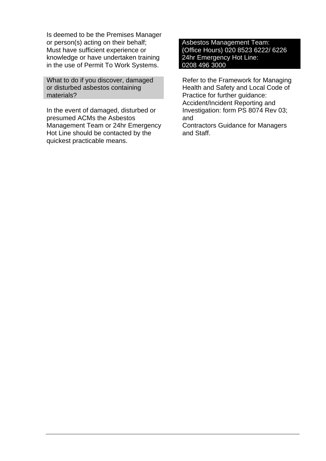Is deemed to be the Premises Manager or person(s) acting on their behalf; Must have sufficient experience or knowledge or have undertaken training in the use of Permit To Work Systems.

What to do if you discover, damaged or disturbed asbestos containing materials?

In the event of damaged, disturbed or presumed ACMs the Asbestos Management Team or 24hr Emergency Hot Line should be contacted by the quickest practicable means.

Asbestos Management Team: (Office Hours) 020 8523 6222/ 6226 24hr Emergency Hot Line: 0208 496 3000

Refer to the Framework for Managing Health and Safety and Local Code of Practice for further guidance: Accident/Incident Reporting and Investigation: form PS 8074 Rev 03; and

Contractors Guidance for Managers and Staff.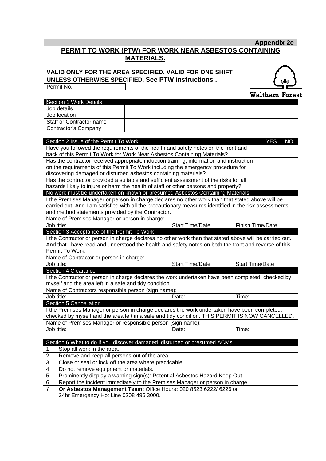# **Appendix 2e PERMIT TO WORK (PTW) FOR WORK NEAR ASBESTOS CONTAINING MATERIALS.**

#### **VALID ONLY FOR THE AREA SPECIFIED. VALID FOR ONE SHIFT UNLESS OTHERWISE SPECIFIED. See PTW instructions .**

Permit No.

 $\mathbf{I}$ 



|                                                            | Section 1 Work Details                                                                                                                                              |  |                        |                        |            |           |
|------------------------------------------------------------|---------------------------------------------------------------------------------------------------------------------------------------------------------------------|--|------------------------|------------------------|------------|-----------|
|                                                            | Job details<br>Job location                                                                                                                                         |  |                        |                        |            |           |
|                                                            |                                                                                                                                                                     |  |                        |                        |            |           |
|                                                            | Staff or Contractor name                                                                                                                                            |  |                        |                        |            |           |
|                                                            | <b>Contractor's Company</b>                                                                                                                                         |  |                        |                        |            |           |
|                                                            |                                                                                                                                                                     |  |                        |                        |            |           |
|                                                            | Section 2 Issue of the Permit To Work                                                                                                                               |  |                        |                        | <b>YES</b> | <b>NO</b> |
|                                                            | Have you followed the requirements of the health and safety notes on the front and                                                                                  |  |                        |                        |            |           |
|                                                            | back of this Permit To Work for Work Near Asbestos Containing Materials?<br>Has the contractor received appropriate induction training, information and instruction |  |                        |                        |            |           |
|                                                            | on the requirements of this Permit To Work including the emergency procedure for                                                                                    |  |                        |                        |            |           |
|                                                            | discovering damaged or disturbed asbestos containing materials?                                                                                                     |  |                        |                        |            |           |
|                                                            | Has the contractor provided a suitable and sufficient assessment of the risks for all                                                                               |  |                        |                        |            |           |
|                                                            | hazards likely to injure or harm the health of staff or other persons and property?                                                                                 |  |                        |                        |            |           |
|                                                            | No work must be undertaken on known or presumed Asbestos Containing Materials                                                                                       |  |                        |                        |            |           |
|                                                            | I the Premises Manager or person in charge declares no other work than that stated above will be                                                                    |  |                        |                        |            |           |
|                                                            | carried out. And I am satisfied with all the precautionary measures identified in the risk assessments                                                              |  |                        |                        |            |           |
|                                                            | and method statements provided by the Contractor.                                                                                                                   |  |                        |                        |            |           |
|                                                            | Name of Premises Manager or person in charge:                                                                                                                       |  |                        |                        |            |           |
|                                                            | Job title:                                                                                                                                                          |  | <b>Start Time/Date</b> | Finish Time/Date       |            |           |
|                                                            | Section 3 Acceptance of the Permit To Work                                                                                                                          |  |                        |                        |            |           |
|                                                            | I the Contractor or person in charge declares no other work than that stated above will be carried out.                                                             |  |                        |                        |            |           |
|                                                            | And that I have read and understood the health and safety notes on both the front and reverse of this                                                               |  |                        |                        |            |           |
|                                                            | Permit To Work.                                                                                                                                                     |  |                        |                        |            |           |
|                                                            | Name of Contractor or person in charge:                                                                                                                             |  |                        |                        |            |           |
|                                                            | Job title:                                                                                                                                                          |  | <b>Start Time/Date</b> | <b>Start Time/Date</b> |            |           |
|                                                            | <b>Section 4 Clearance</b>                                                                                                                                          |  |                        |                        |            |           |
|                                                            | I the Contractor or person in charge declares the work undertaken have been completed, checked by                                                                   |  |                        |                        |            |           |
|                                                            | myself and the area left in a safe and tidy condition.                                                                                                              |  |                        |                        |            |           |
|                                                            | Name of Contractors responsible person (sign name):                                                                                                                 |  |                        |                        |            |           |
|                                                            | Job title:                                                                                                                                                          |  | Date:                  | Time:                  |            |           |
|                                                            | Section 5 Cancellation                                                                                                                                              |  |                        |                        |            |           |
|                                                            | I the Premises Manager or person in charge declares the work undertaken have been completed.                                                                        |  |                        |                        |            |           |
|                                                            | checked by myself and the area left in a safe and tidy condition. THIS PERMIT IS NOW CANCELLED.                                                                     |  |                        |                        |            |           |
|                                                            | Name of Premises Manager or responsible person (sign name):                                                                                                         |  |                        |                        |            |           |
|                                                            | Job title:                                                                                                                                                          |  | Date:                  | Time:                  |            |           |
|                                                            |                                                                                                                                                                     |  |                        |                        |            |           |
|                                                            | Section 6 What to do if you discover damaged, disturbed or presumed ACMs                                                                                            |  |                        |                        |            |           |
| 1                                                          | Stop all work in the area.                                                                                                                                          |  |                        |                        |            |           |
| $\boldsymbol{2}$                                           | Remove and keep all persons out of the area.                                                                                                                        |  |                        |                        |            |           |
| Close or seal or lock off the area where practicable.<br>3 |                                                                                                                                                                     |  |                        |                        |            |           |
| 4                                                          | Do not remove equipment or materials.                                                                                                                               |  |                        |                        |            |           |
| 5                                                          | Prominently display a warning sign(s): Potential Asbestos Hazard Keep Out.                                                                                          |  |                        |                        |            |           |
|                                                            | Report the incident immediately to the Premises Manager or person in charge.<br>6                                                                                   |  |                        |                        |            |           |

7 **Or Asbestos Management Team:** Office Hours**:** 020 8523 6222/ 6226 or 24hr Emergency Hot Line 0208 496 3000.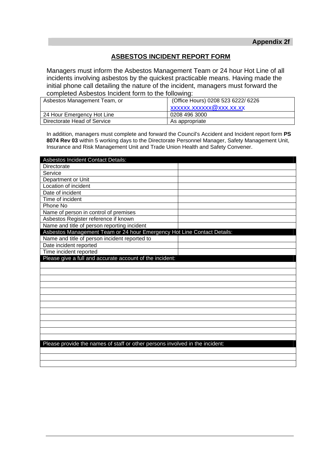# **ASBESTOS INCIDENT REPORT FORM**

Managers must inform the Asbestos Management Team or 24 hour Hot Line of all incidents involving asbestos by the quickest practicable means. Having made the initial phone call detailing the nature of the incident, managers must forward the completed Asbestos Incident form to the following:

| Asbestos Management Team, or | (Office Hours) 0208 523 6222/ 6226 |
|------------------------------|------------------------------------|
|                              | xxxxxx.xxxxxx@xxx.xx.xx            |
| 24 Hour Emergency Hot Line   | 0208 496 3000                      |
| Directorate Head of Service  | As appropriate                     |

In addition, managers must complete and forward the Council's Accident and Incident report form **PS 8074 Rev 03** within 5 working days to the Directorate Personnel Manager, Safety Management Unit, Insurance and Risk Management Unit and Trade Union Health and Safety Convener.

| <b>Asbestos Incident Contact Details:</b>                                    |  |
|------------------------------------------------------------------------------|--|
| Directorate                                                                  |  |
| Service                                                                      |  |
| Department or Unit                                                           |  |
| Location of incident                                                         |  |
| Date of incident                                                             |  |
| Time of incident                                                             |  |
| Phone No                                                                     |  |
| Name of person in control of premises                                        |  |
| Asbestos Register reference if known                                         |  |
| Name and title of person reporting incident                                  |  |
| Asbestos Management Team or 24 hour Emergency Hot Line Contact Details:      |  |
| Name and title of person incident reported to                                |  |
| Date incident reported                                                       |  |
| Time incident reported                                                       |  |
| Please give a full and accurate account of the incident:                     |  |
|                                                                              |  |
|                                                                              |  |
|                                                                              |  |
|                                                                              |  |
|                                                                              |  |
|                                                                              |  |
|                                                                              |  |
|                                                                              |  |
|                                                                              |  |
|                                                                              |  |
|                                                                              |  |
|                                                                              |  |
| Please provide the names of staff or other persons involved in the incident: |  |
|                                                                              |  |
|                                                                              |  |
|                                                                              |  |
|                                                                              |  |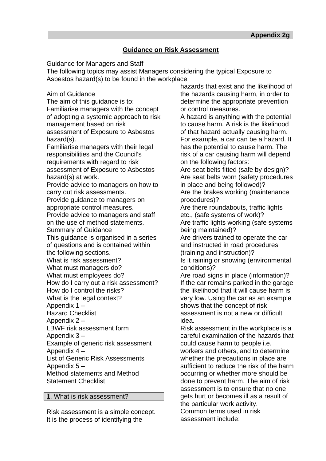# **Guidance on Risk Assessment**

Guidance for Managers and Staff

The following topics may assist Managers considering the typical Exposure to Asbestos hazard(s) to be found in the workplace.

Aim of Guidance

The aim of this guidance is to: Familiarise managers with the concept of adopting a systemic approach to risk management based on risk assessment of Exposure to Asbestos hazard(s).

Familiarise managers with their legal responsibilities and the Council's requirements with regard to risk assessment of Exposure to Asbestos hazard(s) at work.

Provide advice to managers on how to carry out risk assessments.

Provide guidance to managers on appropriate control measures.

Provide advice to managers and staff on the use of method statements.

Summary of Guidance

This guidance is organised in a series of questions and is contained within the following sections.

What is risk assessment?

What must managers do?

What must employees do?

How do I carry out a risk assessment?

How do I control the risks? What is the legal context?

Appendix 1 –

Hazard Checklist

Appendix 2 –

LBWF risk assessment form

Appendix 3 –

Example of generic risk assessment Appendix 4 –

List of Generic Risk Assessments Appendix 5 –

Method statements and Method Statement Checklist

1. What is risk assessment?

Risk assessment is a simple concept. It is the process of identifying the

hazards that exist and the likelihood of the hazards causing harm, in order to determine the appropriate prevention or control measures.

A hazard is anything with the potential to cause harm. A risk is the likelihood of that hazard actually causing harm. For example, a car can be a hazard. It has the potential to cause harm. The risk of a car causing harm will depend on the following factors:

Are seat belts fitted (safe by design)? Are seat belts worn (safety procedures in place and being followed)? Are the brakes working (maintenance procedures)?

Are there roundabouts, traffic lights etc., (safe systems of work)? Are traffic lights working (safe systems being maintained)?

Are drivers trained to operate the car and instructed in road procedures (training and instruction)?

Is it raining or snowing (environmental conditions)?

Are road signs in place (information)? If the car remains parked in the garage the likelihood that it will cause harm is very low. Using the car as an example shows that the concept of risk assessment is not a new or difficult idea.

Risk assessment in the workplace is a careful examination of the hazards that could cause harm to people i.e. workers and others, and to determine whether the precautions in place are sufficient to reduce the risk of the harm occurring or whether more should be done to prevent harm. The aim of risk assessment is to ensure that no one gets hurt or becomes ill as a result of the particular work activity. Common terms used in risk assessment include: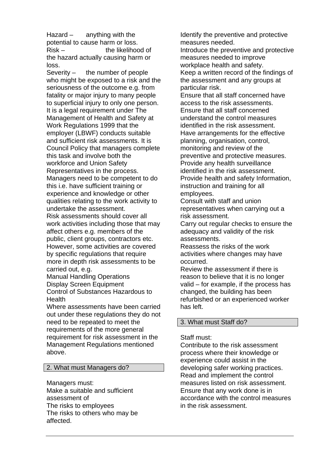Hazard  $-$  anything with the potential to cause harm or loss. Risk – the likelihood of the hazard actually causing harm or loss.

Severity  $-$  the number of people who might be exposed to a risk and the seriousness of the outcome e.g. from fatality or major injury to many people to superficial injury to only one person. It is a legal requirement under The Management of Health and Safety at Work Regulations 1999 that the employer (LBWF) conducts suitable and sufficient risk assessments. It is Council Policy that managers complete this task and involve both the workforce and Union Safety Representatives in the process. Managers need to be competent to do this i.e. have sufficient training or experience and knowledge or other qualities relating to the work activity to undertake the assessment. Risk assessments should cover all work activities including those that may affect others e.g. members of the public, client groups, contractors etc. However, some activities are covered by specific regulations that require more in depth risk assessments to be carried out, e.g.

Manual Handling Operations Display Screen Equipment Control of Substances Hazardous to Health

Where assessments have been carried out under these regulations they do not need to be repeated to meet the requirements of the more general requirement for risk assessment in the Management Regulations mentioned above.

#### 2. What must Managers do?

Managers must:

Make a suitable and sufficient assessment of The risks to employees The risks to others who may be affected.

Identify the preventive and protective measures needed.

Introduce the preventive and protective measures needed to improve workplace health and safety. Keep a written record of the findings of the assessment and any groups at particular risk.

Ensure that all staff concerned have access to the risk assessments. Ensure that all staff concerned understand the control measures identified in the risk assessment. Have arrangements for the effective planning, organisation, control, monitoring and review of the preventive and protective measures. Provide any health surveillance identified in the risk assessment. Provide health and safety Information, instruction and training for all employees.

Consult with staff and union representatives when carrying out a risk assessment.

Carry out regular checks to ensure the adequacy and validity of the risk assessments.

Reassess the risks of the work activities where changes may have occurred.

Review the assessment if there is reason to believe that it is no longer valid – for example, if the process has changed, the building has been refurbished or an experienced worker has left.

#### 3. What must Staff do?

#### Staff must:

Contribute to the risk assessment process where their knowledge or experience could assist in the developing safer working practices. Read and implement the control measures listed on risk assessment. Ensure that any work done is in accordance with the control measures in the risk assessment.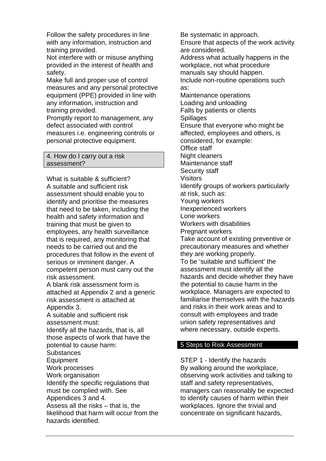Follow the safety procedures in line with any information, instruction and training provided.

Not interfere with or misuse anything provided in the interest of health and safety.

Make full and proper use of control measures and any personal protective equipment (PPE) provided in line with any information, instruction and training provided.

Promptly report to management, any defect associated with control measures i.e. engineering controls or personal protective equipment.

4. How do I carry out a risk assessment?

What is suitable & sufficient? A suitable and sufficient risk assessment should enable you to identify and prioritise the measures that need to be taken, including the health and safety information and training that must be given to employees, any health surveillance that is required, any monitoring that needs to be carried out and the procedures that follow in the event of serious or imminent danger. A competent person must carry out the risk assessment.

A blank risk assessment form is attached at Appendix 2 and a generic risk assessment is attached at Appendix 3.

A suitable and sufficient risk assessment must:

Identify all the hazards, that is, all those aspects of work that have the potential to cause harm:

**Substances** 

Equipment

Work processes

Work organisation Identify the specific regulations that must be complied with. See

Appendices 3 and 4.

Assess all the risks – that is, the likelihood that harm will occur from the hazards identified.

Be systematic in approach.

Ensure that aspects of the work activity are considered.

Address what actually happens in the workplace, not what procedure manuals say should happen.

Include non-routine operations such as:

Maintenance operations

Loading and unloading Falls by patients or clients

**Spillages** 

Ensure that everyone who might be affected, employees and others, is

considered, for example: Office staff

Night cleaners

Maintenance staff

Security staff

Visitors

Identify groups of workers particularly at risk, such as:

Young workers

Inexperienced workers

Lone workers

Workers with disabilities

Pregnant workers Take account of existing preventive or

precautionary measures and whether they are working properly.

To be 'suitable and sufficient' the assessment must identify all the hazards and decide whether they have the potential to cause harm in the workplace. Managers are expected to familiarise themselves with the hazards and risks in their work areas and to consult with employees and trade union safety representatives and where necessary, outside experts.

# 5 Steps to Risk Assessment

STEP 1 - Identify the hazards By walking around the workplace, observing work activities and talking to staff and safety representatives, managers can reasonably be expected to identify causes of harm within their workplaces. Ignore the trivial and concentrate on significant hazards,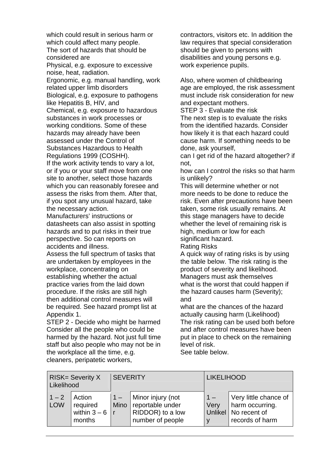which could result in serious harm or which could affect many people. The sort of hazards that should be considered are Physical, e.g. exposure to excessive noise, heat, radiation. Ergonomic, e.g. manual handling, work related upper limb disorders Biological, e.g. exposure to pathogens like Hepatitis B, HIV, and Chemical, e.g. exposure to hazardous substances in work processes or working conditions. Some of these hazards may already have been assessed under the Control of Substances Hazardous to Health Regulations 1999 (COSHH). If the work activity tends to vary a lot, or if you or your staff move from one site to another, select those hazards which you can reasonably foresee and assess the risks from them. After that, if you spot any unusual hazard, take the necessary action. Manufacturers' instructions or datasheets can also assist in spotting hazards and to put risks in their true

perspective. So can reports on accidents and illness.

Assess the full spectrum of tasks that are undertaken by employees in the workplace, concentrating on establishing whether the actual practice varies from the laid down procedure. If the risks are still high then additional control measures will be required. See hazard prompt list at Appendix 1.

STEP 2 - Decide who might be harmed Consider all the people who could be harmed by the hazard. Not just full time staff but also people who may not be in the workplace all the time, e.g. cleaners, peripatetic workers,

contractors, visitors etc. In addition the law requires that special consideration should be given to persons with disabilities and young persons e.g. work experience pupils.

Also, where women of childbearing age are employed, the risk assessment must include risk consideration for new and expectant mothers.

STEP 3 - Evaluate the risk

The next step is to evaluate the risks from the identified hazards. Consider how likely it is that each hazard could cause harm. If something needs to be done, ask yourself,

can I get rid of the hazard altogether? if not,

how can I control the risks so that harm is unlikely?

This will determine whether or not more needs to be done to reduce the risk. Even after precautions have been taken, some risk usually remains. At this stage managers have to decide whether the level of remaining risk is high, medium or low for each significant hazard.

Rating Risks

A quick way of rating risks is by using the table below. The risk rating is the product of severity and likelihood. Managers must ask themselves what is the worst that could happen if the hazard causes harm (Severity); and

what are the chances of the hazard actually causing harm (Likelihood) The risk rating can be used both before and after control measures have been put in place to check on the remaining level of risk.

See table below.

| <b>RISK= Severity X</b><br>Likelihood |                                                  | <b>SEVERITY</b> |                                                                                    | <b>LIKELIHOOD</b> |                                                                                       |
|---------------------------------------|--------------------------------------------------|-----------------|------------------------------------------------------------------------------------|-------------------|---------------------------------------------------------------------------------------|
| $1 - 2$<br><b>LOW</b>                 | Action<br>required<br>within $3-6$   r<br>months | $1 -$           | Minor injury (not<br>Mino reportable under<br>RIDDOR) to a low<br>number of people | $1 -$<br>Very     | Very little chance of<br>harm occurring.<br>Unlikel   No recent of<br>records of harm |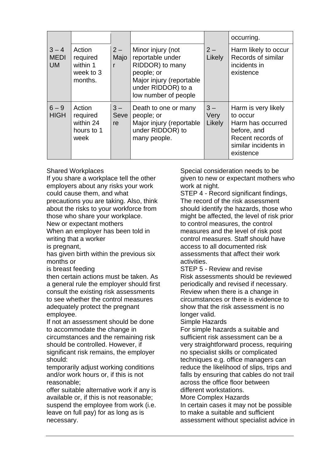|                                     |                                                        |                     |                                                                                                                                                  |                         | occurring.                                                                                                                    |
|-------------------------------------|--------------------------------------------------------|---------------------|--------------------------------------------------------------------------------------------------------------------------------------------------|-------------------------|-------------------------------------------------------------------------------------------------------------------------------|
| $3 - 4$<br><b>MEDI</b><br><b>UM</b> | Action<br>required<br>within 1<br>week to 3<br>months. | $2-$<br>Majo<br>r   | Minor injury (not<br>reportable under<br>RIDDOR) to many<br>people; or<br>Major injury (reportable<br>under RIDDOR) to a<br>low number of people | $2 -$<br>Likely         | Harm likely to occur<br>Records of similar<br>incidents in<br>existence                                                       |
| $6 - 9$<br><b>HIGH</b>              | Action<br>required<br>within 24<br>hours to 1<br>week  | $3 -$<br>Seve<br>re | Death to one or many<br>people; or<br>Major injury (reportable<br>under RIDDOR) to<br>many people.                                               | $3 -$<br>Very<br>Likely | Harm is very likely<br>to occur<br>Harm has occurred<br>before, and<br>Recent records of<br>similar incidents in<br>existence |

Shared Workplaces

If you share a workplace tell the other employers about any risks your work could cause them, and what precautions you are taking. Also, think about the risks to your workforce from those who share your workplace. New or expectant mothers

When an employer has been told in writing that a worker

is pregnant,

has given birth within the previous six months or

is breast feeding

then certain actions must be taken. As a general rule the employer should first consult the existing risk assessments to see whether the control measures adequately protect the pregnant employee.

If not an assessment should be done to accommodate the change in circumstances and the remaining risk should be controlled. However, if significant risk remains, the employer should:

temporarily adjust working conditions and/or work hours or, if this is not reasonable;

offer suitable alternative work if any is available or, if this is not reasonable; suspend the employee from work (i.e. leave on full pay) for as long as is necessary.

Special consideration needs to be given to new or expectant mothers who work at night.

STEP 4 - Record significant findings, The record of the risk assessment should identify the hazards, those who might be affected, the level of risk prior to control measures, the control measures and the level of risk post control measures. Staff should have access to all documented risk assessments that affect their work activities.

STEP 5 - Review and revise Risk assessments should be reviewed periodically and revised if necessary. Review when there is a change in circumstances or there is evidence to show that the risk assessment is no longer valid.

Simple Hazards

For simple hazards a suitable and sufficient risk assessment can be a very straightforward process, requiring no specialist skills or complicated techniques e.g. office managers can reduce the likelihood of slips, trips and falls by ensuring that cables do not trail across the office floor between different workstations.

More Complex Hazards

In certain cases it may not be possible to make a suitable and sufficient assessment without specialist advice in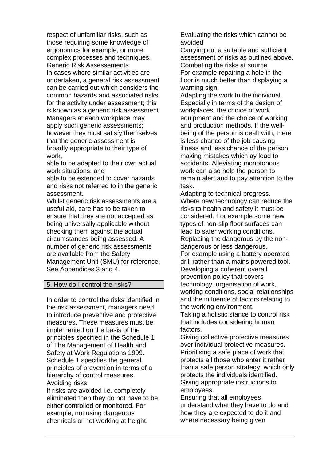respect of unfamiliar risks, such as those requiring some knowledge of ergonomics for example, or more complex processes and techniques. Generic Risk Assessements In cases where similar activities are undertaken, a general risk assessment can be carried out which considers the common hazards and associated risks for the activity under assessment; this is known as a generic risk assessment. Managers at each workplace may apply such generic assessments; however they must satisfy themselves that the generic assessment is broadly appropriate to their type of work,

able to be adapted to their own actual work situations, and

able to be extended to cover hazards and risks not referred to in the generic assessment.

Whilst generic risk assessments are a useful aid, care has to be taken to ensure that they are not accepted as being universally applicable without checking them against the actual circumstances being assessed. A number of generic risk assessments are available from the Safety Management Unit (SMU) for reference. See Appendices 3 and 4.

#### 5. How do I control the risks?

In order to control the risks identified in the risk assessment, managers need to introduce preventive and protective measures. These measures must be implemented on the basis of the principles specified in the Schedule 1 of The Management of Health and Safety at Work Regulations 1999. Schedule 1 specifies the general principles of prevention in terms of a hierarchy of control measures. Avoiding risks

If risks are avoided i.e. completely eliminated then they do not have to be either controlled or monitored. For example, not using dangerous chemicals or not working at height.

Evaluating the risks which cannot be avoided

Carrying out a suitable and sufficient assessment of risks as outlined above. Combating the risks at source For example repairing a hole in the floor is much better than displaying a warning sign.

Adapting the work to the individual. Especially in terms of the design of workplaces, the choice of work equipment and the choice of working and production methods. If the wellbeing of the person is dealt with, there is less chance of the job causing illness and less chance of the person making mistakes which ay lead to accidents. Alleviating monotonous work can also help the person to remain alert and to pay attention to the task.

Adapting to technical progress. Where new technology can reduce the risks to health and safety it must be considered. For example some new types of non-slip floor surfaces can lead to safer working conditions. Replacing the dangerous by the nondangerous or less dangerous. For example using a battery operated drill rather than a mains powered tool. Developing a coherent overall prevention policy that covers technology, organisation of work, working conditions, social relationships and the influence of factors relating to the working environment.

Taking a holistic stance to control risk that includes considering human factors.

Giving collective protective measures over individual protective measures. Prioritising a safe place of work that protects all those who enter it rather than a safe person strategy, which only protects the individuals identified. Giving appropriate instructions to employees.

Ensuring that all employees understand what they have to do and how they are expected to do it and where necessary being given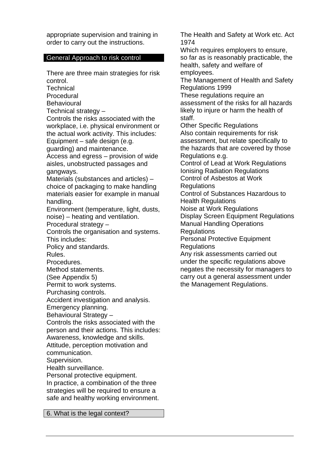appropriate supervision and training in order to carry out the instructions.

#### General Approach to risk control

There are three main strategies for risk control.

**Technical** 

**Procedural** 

**Behavioural** 

Technical strategy –

Controls the risks associated with the workplace, i.e. physical environment or the actual work activity. This includes: Equipment – safe design (e.g.

guarding) and maintenance.

Access and egress – provision of wide aisles, unobstructed passages and gangways.

Materials (substances and articles) – choice of packaging to make handling materials easier for example in manual handling.

Environment (temperature, light, dusts, noise) – heating and ventilation.

Procedural strategy –

Controls the organisation and systems. This includes:

Policy and standards.

Rules.

Procedures.

Method statements.

(See Appendix 5)

Permit to work systems.

Purchasing controls.

Accident investigation and analysis.

Emergency planning.

Behavioural Strategy –

Controls the risks associated with the

person and their actions. This includes:

Awareness, knowledge and skills.

Attitude, perception motivation and

communication.

Supervision.

Health surveillance.

Personal protective equipment. In practice, a combination of the three strategies will be required to ensure a safe and healthy working environment.

6. What is the legal context?

The Health and Safety at Work etc. Act 1974

Which requires employers to ensure, so far as is reasonably practicable, the health, safety and welfare of employees.

The Management of Health and Safety Regulations 1999

These regulations require an assessment of the risks for all hazards likely to injure or harm the health of staff.

Other Specific Regulations Also contain requirements for risk assessment, but relate specifically to the hazards that are covered by those Regulations e.g.

Control of Lead at Work Regulations Ionising Radiation Regulations Control of Asbestos at Work

**Regulations** 

Control of Substances Hazardous to Health Regulations

Noise at Work Regulations

Display Screen Equipment Regulations

Manual Handling Operations

**Regulations** 

Personal Protective Equipment Regulations

Any risk assessments carried out under the specific regulations above negates the necessity for managers to carry out a general assessment under the Management Regulations.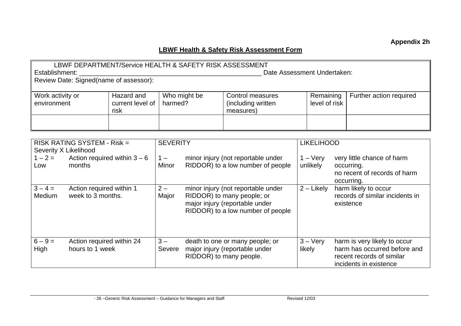# **LBWF Health & Safety Risk Assessment Form**

| Date Assessment Undertaken:<br>Establishment:<br>Review Date: Signed(name of assessor): |                                                                     |                                                                                                                                                                                                                      |              |                                                                                                                                         |                            |  |                                                                      |
|-----------------------------------------------------------------------------------------|---------------------------------------------------------------------|----------------------------------------------------------------------------------------------------------------------------------------------------------------------------------------------------------------------|--------------|-----------------------------------------------------------------------------------------------------------------------------------------|----------------------------|--|----------------------------------------------------------------------|
| Work activity or<br>environment                                                         | Hazard and<br>current level of<br>risk                              | harmed?                                                                                                                                                                                                              | Who might be | Control measures<br>(including written<br>measures)                                                                                     | Remaining<br>level of risk |  | Further action required                                              |
|                                                                                         |                                                                     |                                                                                                                                                                                                                      |              |                                                                                                                                         |                            |  |                                                                      |
| Severity X Likelihood                                                                   | <b>SEVERITY</b><br><b>LIKELIHOOD</b><br>RISK RATING SYSTEM - Risk = |                                                                                                                                                                                                                      |              |                                                                                                                                         |                            |  |                                                                      |
| $1 - 2 =$<br>months<br>Low                                                              | Action required within $3-6$                                        | minor injury (not reportable under<br>$1 - \text{Very}$<br>$1 -$<br>very little chance of harm<br>RIDDOR) to a low number of people<br>Minor<br>unlikely<br>occurring.<br>no recent of records of harm<br>occurring. |              |                                                                                                                                         |                            |  |                                                                      |
| $3 - 4 =$<br>Medium                                                                     | Action required within 1<br>week to 3 months.                       | $2 -$<br>Major                                                                                                                                                                                                       |              | minor injury (not reportable under<br>RIDDOR) to many people; or<br>major injury (reportable under<br>RIDDOR) to a low number of people | $2$ – Likely               |  | harm likely to occur<br>records of similar incidents in<br>existence |

| $6 - 9 =$<br>High | Action required within 24<br>hours to 1 week | $3 -$<br>Severe | death to one or many people; or<br>major injury (reportable under<br>RIDDOR) to many people. | $3 - \mathrm{V}$ erv<br>likely | harm is very likely to occur<br>harm has occurred before and<br>recent records of similar<br>incidents in existence |
|-------------------|----------------------------------------------|-----------------|----------------------------------------------------------------------------------------------|--------------------------------|---------------------------------------------------------------------------------------------------------------------|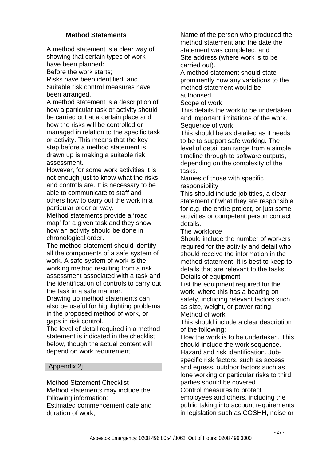# **Method Statements**

A method statement is a clear way of showing that certain types of work have been planned:

Before the work starts;

Risks have been identified; and Suitable risk control measures have been arranged.

A method statement is a description of how a particular task or activity should be carried out at a certain place and how the risks will be controlled or managed in relation to the specific task or activity. This means that the key step before a method statement is drawn up is making a suitable risk assessment.

However, for some work activities it is not enough just to know what the risks and controls are. It is necessary to be able to communicate to staff and others how to carry out the work in a particular order or way.

Method statements provide a 'road map' for a given task and they show how an activity should be done in chronological order.

The method statement should identify all the components of a safe system of work. A safe system of work is the working method resulting from a risk assessment associated with a task and the identification of controls to carry out the task in a safe manner.

Drawing up method statements can also be useful for highlighting problems in the proposed method of work, or gaps in risk control.

The level of detail required in a method statement is indicated in the checklist below, though the actual content will depend on work requirement

# Appendix 2j

Method Statement Checklist Method statements may include the following information:

Estimated commencement date and duration of work;

Name of the person who produced the method statement and the date the statement was completed; and Site address (where work is to be carried out).

A method statement should state prominently how any variations to the method statement would be authorised.

Scope of work

This details the work to be undertaken and important limitations of the work. Sequence of work

This should be as detailed as it needs to be to support safe working. The level of detail can range from a simple timeline through to software outputs, depending on the complexity of the tasks.

Names of those with specific responsibility

This should include job titles, a clear statement of what they are responsible for e.g. the entire project, or just some activities or competent person contact details.

The workforce

Should include the number of workers required for the activity and detail who should receive the information in the method statement. It is best to keep to details that are relevant to the tasks. Details of equipment

List the equipment required for the work, where this has a bearing on safety, including relevant factors such as size, weight, or power rating. Method of work

This should include a clear description of the following:

How the work is to be undertaken. This should include the work sequence. Hazard and risk identification. Job-

specific risk factors, such as access and egress, outdoor factors such as lone working or particular risks to third parties should be covered.

Control measures to protect

employees and others, including the public taking into account requirements in legislation such as COSHH, noise or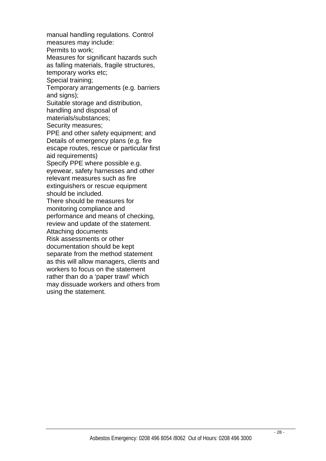manual handling regulations. Control measures may include: Permits to work; Measures for significant hazards such as falling materials, fragile structures, temporary works etc; Special training; Temporary arrangements (e.g. barriers and signs); Suitable storage and distribution, handling and disposal of materials/substances; Security measures; PPE and other safety equipment; and Details of emergency plans (e.g. fire escape routes, rescue or particular first aid requirements) Specify PPE where possible e.g. eyewear, safety harnesses and other relevant measures such as fire extinguishers or rescue equipment should be included. There should be measures for monitoring compliance and performance and means of checking, review and update of the statement. Attaching documents Risk assessments or other documentation should be kept separate from the method statement as this will allow managers, clients and workers to focus on the statement rather than do a 'paper trawl' which may dissuade workers and others from using the statement.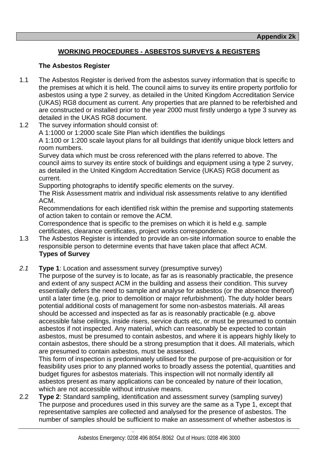# **WORKING PROCEDURES - ASBESTOS SURVEYS & REGISTERS**

# **The Asbestos Register**

- 1.1 The Asbestos Register is derived from the asbestos survey information that is specific to the premises at which it is held. The council aims to survey its entire property portfolio for asbestos using a type 2 survey, as detailed in the United Kingdom Accreditation Service (UKAS) RG8 document as current. Any properties that are planned to be referbished and are constructed or installed prior to the year 2000 must firstly undergo a type 3 survey as detailed in the UKAS RG8 document.
- 1.2 The survey information should consist of:

A 1:1000 or 1:2000 scale Site Plan which identifies the buildings

 A 1:100 or 1:200 scale layout plans for all buildings that identify unique block letters and room numbers.

 Survey data which must be cross referenced with the plans referred to above. The council aims to survey its entire stock of buildings and equipment using a type 2 survey, as detailed in the United Kingdom Accreditation Service (UKAS) RG8 document as current.

Supporting photographs to identify specific elements on the survey.

 The Risk Assessment matrix and individual risk assessments relative to any identified ACM.

 Recommendations for each identified risk within the premise and supporting statements of action taken to contain or remove the ACM.

 Correspondence that is specific to the premises on which it is held e.g. sample certificates, clearance certificates, project works correspondence.

- 1.3 The Asbestos Register is intended to provide an on-site information source to enable the responsible person to determine events that have taken place that affect ACM.  **Types of Survey**
- *2.1* **Type 1**: Location and assessment survey (presumptive survey)

 The purpose of the survey is to locate, as far as is reasonably practicable, the presence and extent of any suspect ACM in the building and assess their condition. This survey essentially defers the need to sample and analyse for asbestos (or the absence thereof) until a later time (e.g. prior to demolition or major refurbishment). The duty holder bears potential additional costs of management for some non-asbestos materials. All areas should be accessed and inspected as far as is reasonably practicable (e.g. above accessible false ceilings, inside risers, service ducts etc, or must be presumed to contain asbestos if not inspected. Any material, which can reasonably be expected to contain asbestos, must be presumed to contain asbestos, and where it is appears highly likely to contain asbestos, there should be a strong presumption that it does. All materials, which are presumed to contain asbestos, must be assessed.

 This form of inspection is predominately utilised for the purpose of pre-acquisition or for feasibility uses prior to any planned works to broadly assess the potential, quantities and budget figures for asbestos materials. This inspection will not normally identify all asbestos present as many applications can be concealed by nature of their location, which are not accessible without intrusive means.

2.2 **Type 2**: Standard sampling, identification and assessment survey (sampling survey) The purpose and procedures used in this survey are the same as a Type 1, except that representative samples are collected and analysed for the presence of asbestos. The number of samples should be sufficient to make an assessment of whether asbestos is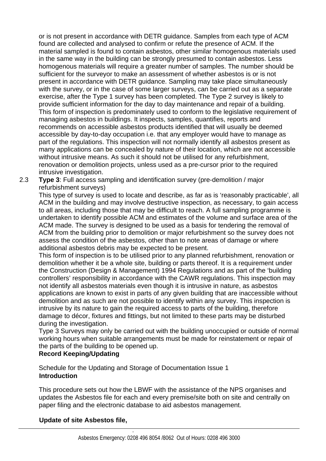or is not present in accordance with DETR guidance. Samples from each type of ACM found are collected and analysed to confirm or refute the presence of ACM. If the material sampled is found to contain asbestos, other similar homogenous materials used in the same way in the building can be strongly presumed to contain asbestos. Less homogenous materials will require a greater number of samples. The number should be sufficient for the surveyor to make an assessment of whether asbestos is or is not present in accordance with DETR guidance. Sampling may take place simultaneously with the survey, or in the case of some larger surveys, can be carried out as a separate exercise, after the Type 1 survey has been completed. The Type 2 survey is likely to provide sufficient information for the day to day maintenance and repair of a building. This form of inspection is predominately used to conform to the legislative requirement of managing asbestos in buildings. It inspects, samples, quantifies, reports and recommends on accessible asbestos products identified that will usually be deemed accessible by day-to-day occupation i.e. that any employer would have to manage as part of the regulations. This inspection will not normally identify all asbestos present as many applications can be concealed by nature of their location, which are not accessible without intrusive means. As such it should not be utilised for any refurbishment, renovation or demolition projects, unless used as a pre-cursor prior to the required intrusive investigation.

2.3 **Type 3**: Full access sampling and identification survey (pre-demolition / major refurbishment surveys)

 This type of survey is used to locate and describe, as far as is 'reasonably practicable', all ACM in the building and may involve destructive inspection, as necessary, to gain access to all areas, including those that may be difficult to reach. A full sampling programme is undertaken to identify possible ACM and estimates of the volume and surface area of the ACM made. The survey is designed to be used as a basis for tendering the removal of ACM from the building prior to demolition or major refurbishment so the survey does not assess the condition of the asbestos, other than to note areas of damage or where additional asbestos debris may be expected to be present.

 This form of inspection is to be utilised prior to any planned refurbishment, renovation or demolition whether it be a whole site, building or parts thereof. It is a requirement under the Construction (Design & Management) 1994 Regulations and as part of the 'building controllers' responsibility in accordance with the CAWR regulations. This inspection may not identify all asbestos materials even though it is intrusive in nature, as asbestos applications are known to exist in parts of any given building that are inaccessible without demolition and as such are not possible to identify within any survey. This inspection is intrusive by its nature to gain the required access to parts of the building, therefore damage to décor, fixtures and fittings, but not limited to these parts may be disturbed during the investigation.

 Type 3 Surveys may only be carried out with the building unoccupied or outside of normal working hours when suitable arrangements must be made for reinstatement or repair of the parts of the building to be opened up.

# **Record Keeping/Updating**

 Schedule for the Updating and Storage of Documentation Issue 1  **Introduction** 

 This procedure sets out how the LBWF with the assistance of the NPS organises and updates the Asbestos file for each and every premise/site both on site and centrally on paper filing and the electronic database to aid asbestos management.

# **Update of site Asbestos file,**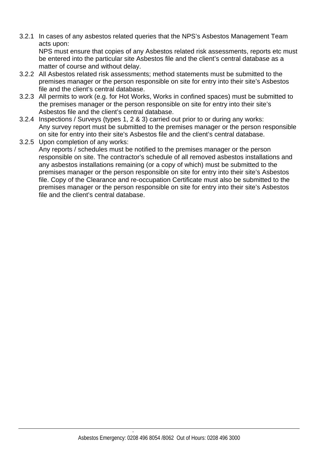3.2.1 In cases of any asbestos related queries that the NPS's Asbestos Management Team acts upon:

 NPS must ensure that copies of any Asbestos related risk assessments, reports etc must be entered into the particular site Asbestos file and the client's central database as a matter of course and without delay.

- 3.2.2 All Asbestos related risk assessments; method statements must be submitted to the premises manager or the person responsible on site for entry into their site's Asbestos file and the client's central database.
- 3.2.3 All permits to work (e.g. for Hot Works, Works in confined spaces) must be submitted to the premises manager or the person responsible on site for entry into their site's Asbestos file and the client's central database.
- 3.2.4 Inspections / Surveys (types 1, 2 & 3) carried out prior to or during any works: Any survey report must be submitted to the premises manager or the person responsible on site for entry into their site's Asbestos file and the client's central database.
- 3.2.5 Upon completion of any works: Any reports / schedules must be notified to the premises manager or the person responsible on site. The contractor's schedule of all removed asbestos installations and any asbestos installations remaining (or a copy of which) must be submitted to the premises manager or the person responsible on site for entry into their site's Asbestos file. Copy of the Clearance and re-occupation Certificate must also be submitted to the premises manager or the person responsible on site for entry into their site's Asbestos file and the client's central database.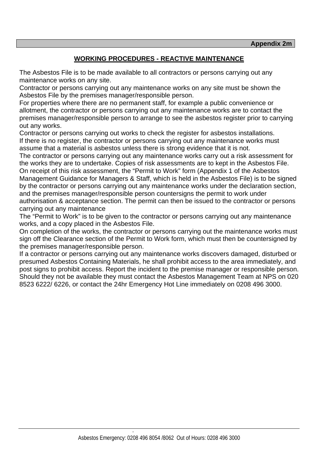# **WORKING PROCEDURES - REACTIVE MAINTENANCE**

The Asbestos File is to be made available to all contractors or persons carrying out any maintenance works on any site.

Contractor or persons carrying out any maintenance works on any site must be shown the Asbestos File by the premises manager/responsible person.

For properties where there are no permanent staff, for example a public convenience or allotment, the contractor or persons carrying out any maintenance works are to contact the premises manager/responsible person to arrange to see the asbestos register prior to carrying out any works.

Contractor or persons carrying out works to check the register for asbestos installations. If there is no register, the contractor or persons carrying out any maintenance works must assume that a material is asbestos unless there is strong evidence that it is not.

The contractor or persons carrying out any maintenance works carry out a risk assessment for the works they are to undertake. Copies of risk assessments are to kept in the Asbestos File. On receipt of this risk assessment, the "Permit to Work" form (Appendix 1 of the Asbestos Management Guidance for Managers & Staff, which is held in the Asbestos File) is to be signed by the contractor or persons carrying out any maintenance works under the declaration section, and the premises manager/responsible person countersigns the permit to work under authorisation & acceptance section. The permit can then be issued to the contractor or persons carrying out any maintenance

The "Permit to Work" is to be given to the contractor or persons carrying out any maintenance works, and a copy placed in the Asbestos File.

On completion of the works, the contractor or persons carrying out the maintenance works must sign off the Clearance section of the Permit to Work form, which must then be countersigned by the premises manager/responsible person.

If a contractor or persons carrying out any maintenance works discovers damaged, disturbed or presumed Asbestos Containing Materials, he shall prohibit access to the area immediately, and post signs to prohibit access. Report the incident to the premise manager or responsible person. Should they not be available they must contact the Asbestos Management Team at NPS on 020 8523 6222/ 6226, or contact the 24hr Emergency Hot Line immediately on 0208 496 3000.

the contract of the contract of the contract of the contract of the contract of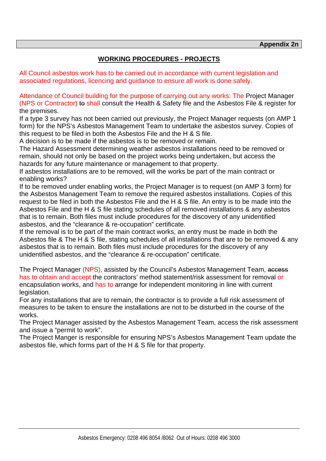# **WORKING PROCEDURES - PROJECTS**

All Council asbestos work has to be carried out in accordance with current legislation and associated regulations, licencing and guidance to ensure all work is done safely.

Attendance of Council building for the purpose of carrying out any works: The Project Manager (NPS or Contractor) to shall consult the Health & Safety file and the Asbestos File & register for the premises.

If a type 3 survey has not been carried out previously, the Project Manager requests (on AMP 1 form) for the NPS's Asbestos Management Team to undertake the asbestos survey. Copies of this request to be filed in both the Asbestos File and the H & S file.

A decision is to be made if the asbestos is to be removed or remain.

The Hazard Assessment determining weather asbestos installations need to be removed or remain, should not only be based on the project works being undertaken, but access the hazards for any future maintenance or management to that property.

If asbestos installations are to be removed, will the works be part of the main contract or enabling works?

If to be removed under enabling works, the Project Manager is to request (on AMP 3 form) for the Asbestos Management Team to remove the required asbestos installations. Copies of this request to be filed in both the Asbestos File and the H & S file. An entry is to be made into the Asbestos File and the H & S file stating schedules of all removed installations & any asbestos that is to remain. Both files must include procedures for the discovery of any unidentified asbestos, and the "clearance & re-occupation" certificate.

If the removal is to be part of the main contract works, an entry must be made in both the Asbestos file & The H & S file, stating schedules of all installations that are to be removed & any asbestos that is to remain. Both files must include procedures for the discovery of any unidentified asbestos, and the "clearance & re-occupation" certificate.

The Project Manager (NPS), assisted by the Council's Asbestos Management Team, access has to obtain and accept the contractors' method statement/risk assessment for removal or encapsulation works, and has to arrange for independent monitoring in line with current legislation.

For any installations that are to remain, the contractor is to provide a full risk assessment of measures to be taken to ensure the installations are not to be disturbed in the course of the works.

The Project Manager assisted by the Asbestos Management Team, access the risk assessment and issue a "permit to work".

The Project Manger is responsible for ensuring NPS's Asbestos Management Team update the asbestos file, which forms part of the H & S file for that property.

the contract of the contract of the contract of the contract of the contract of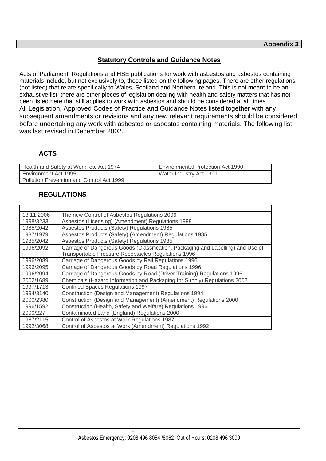# **Statutory Controls and Guidance Notes**

Acts of Parliament, Regulations and HSE publications for work with asbestos and asbestos containing materials include, but not exclusively to, those listed on the following pages. There are other regulations (not listed) that relate specifically to Wales, Scotland and Northern Ireland. This is not meant to be an exhaustive list, there are other pieces of legislation dealing with health and safety matters that has not been listed here that still applies to work with asbestos and should be considered at all times. All Legislation, Approved Codes of Practice and Guidance Notes listed together with any subsequent amendments or revisions and any new relevant requirements should be considered before undertaking any work with asbestos or asbestos containing materials. The following list was last revised in December 2002.

# **ACTS**

| Health and Safety at Work, etc Act 1974   | <b>Environmental Protection Act 1990</b> |
|-------------------------------------------|------------------------------------------|
| Environment Act 1995                      | Water Industry Act 1991                  |
| Pollution Prevention and Control Act 1999 |                                          |

# **REGULATIONS**

| 13.11.2006 | The new Control of Asbestos Regulations 2006                                     |
|------------|----------------------------------------------------------------------------------|
| 1998/3233  | Asbestos (Licensing) (Amendment) Regulations 1998                                |
| 1985/2042  | Asbestos Products (Safety) Regulations 1985                                      |
| 1987/1979  | Asbestos Products (Safety) (Amendment) Regulations 1985                          |
| 1985/2042  | Asbestos Products (Safety) Regulations 1985                                      |
| 1996/2092  | Carriage of Dangerous Goods (Classification, Packaging and Labelling) and Use of |
|            | Transportable Pressure Receptacles Regulations 1996                              |
| 1996/2089  | Carriage of Dangerous Goods by Rail Regulations 1996                             |
| 1996/2095  | Carriage of Dangerous Goods by Road Regulations 1996                             |
| 1996/2094  | Carriage of Dangerous Goods by Road (Driver Training) Regulations 1996           |
| 2002/1689  | Chemicals (Hazard Information and Packaging for Supply) Regulations 2002         |
| 1997/1713  | <b>Confined Spaces Regulations 1997</b>                                          |
| 1994/3140  | Construction (Design and Management) Regulations 1994                            |
| 2000/2380  | Construction (Design and Management) (Amendment) Regulations 2000                |
| 1996/1592  | Construction (Health, Safety and Welfare) Regulations 1996                       |
| 2000/227   | Contaminated Land (England) Regulations 2000                                     |
| 1987/2115  | Control of Asbestos at Work Regulations 1987                                     |
| 1992/3068  | Control of Asbestos at Work (Amendment) Regulations 1992                         |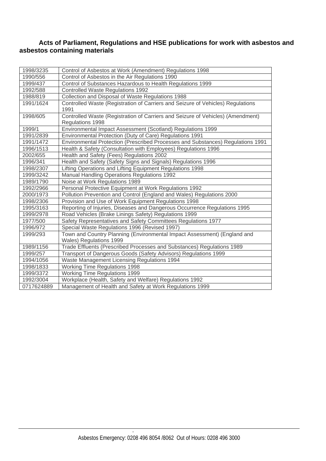#### **Acts of Parliament, Regulations and HSE publications for work with asbestos and asbestos containing materials**

| 1998/3235  | Control of Asbestos at Work (Amendment) Regulations 1998                        |
|------------|---------------------------------------------------------------------------------|
| 1990/556   | Control of Asbestos in the Air Regulations 1990                                 |
| 1999/437   | Control of Substances Hazardous to Health Regulations 1999                      |
| 1992/588   | <b>Controlled Waste Regulations 1992</b>                                        |
| 1988/819   | Collection and Disposal of Waste Regulations 1988                               |
| 1991/1624  | Controlled Waste (Registration of Carriers and Seizure of Vehicles) Regulations |
|            | 1991                                                                            |
| 1998/605   | Controlled Waste (Registration of Carriers and Seizure of Vehicles) (Amendment) |
|            | Regulations 1998                                                                |
| 1999/1     | Environmental Impact Assessment (Scotland) Regulations 1999                     |
| 1991/2839  | Environmental Protection (Duty of Care) Regulations 1991                        |
| 1991/1472  | Environmental Protection (Prescribed Processes and Substances) Regulations 1991 |
| 1996/1513  | Health & Safety (Consultation with Employees) Regulations 1996                  |
| 2002/655   | Health and Safety (Fees) Regulations 2002                                       |
| 1996/341   | Health and Safety (Safety Signs and Signals) Regulations 1996                   |
| 1998/2307  | Lifting Operations and Lifting Equipment Regulations 1998                       |
| 1999/3242  | <b>Manual Handling Operations Regulations 1992</b>                              |
| 1989/1790  | Noise at Work Regulations 1989                                                  |
| 1992/2966  | Personal Protective Equipment at Work Regulations 1992                          |
| 2000/1973  | Pollution Prevention and Control (England and Wales) Regulations 2000           |
| 1998/2306  | Provision and Use of Work Equipment Regulations 1998                            |
| 1995/3163  | Reporting of Injuries, Diseases and Dangerous Occurrence Regulations 1995       |
| 1999/2978  | Road Vehicles (Brake Linings Safety) Regulations 1999                           |
| 1977/500   | Safety Representatives and Safety Committees Regulations 1977                   |
| 1996/972   | Special Waste Regulations 1996 (Revised 1997)                                   |
| 1999/293   | Town and Country Planning (Environmental Impact Assessment) (England and        |
|            | Wales) Regulations 1999                                                         |
| 1989/1156  | Trade Effluents (Prescribed Processes and Substances) Regulations 1989          |
| 1999/257   | Transport of Dangerous Goods (Safety Advisors) Regulations 1999                 |
| 1994/1056  | Waste Management Licensing Regulations 1994                                     |
| 1998/1833  | <b>Working Time Regulations 1998</b>                                            |
| 1999/3372  | <b>Working Time Regulations 1999</b>                                            |
| 1992/3004  | Workplace (Health, Safety and Welfare) Regulations 1992                         |
| 0717624889 | Management of Health and Safety at Work Regulations 1999                        |